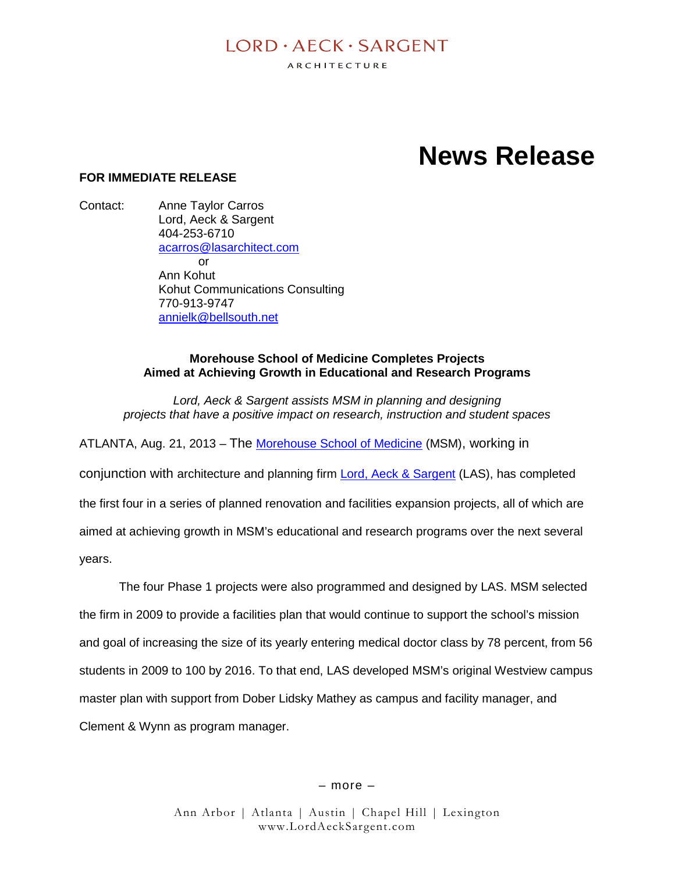# $I$  ORD  $\cdot$  AECK  $\cdot$  SARGENT

ARCHITECTURE

# **News Release**

## **FOR IMMEDIATE RELEASE**

Contact: Anne Taylor Carros Lord, Aeck & Sargent 404-253-6710 acarros@lasarchitect.com or Ann Kohut Kohut Communications Consulting 770-913-9747 annielk@bellsouth.net

# **Morehouse School of Medicine Completes Projects Aimed at Achieving Growth in Educational and Research Programs**

*Lord, Aeck & Sargent assists MSM in planning and designing projects that have a positive impact on research, instruction and student spaces*

ATLANTA, Aug. 21, 2013 – The Morehouse School of Medicine (MSM), working in

conjunction with architecture and planning firm Lord, Aeck & Sargent (LAS), has completed the first four in a series of planned renovation and facilities expansion projects, all of which are aimed at achieving growth in MSM's educational and research programs over the next several years.

The four Phase 1 projects were also programmed and designed by LAS. MSM selected the firm in 2009 to provide a facilities plan that would continue to support the school's mission and goal of increasing the size of its yearly entering medical doctor class by 78 percent, from 56 students in 2009 to 100 by 2016. To that end, LAS developed MSM's original Westview campus master plan with support from Dober Lidsky Mathey as campus and facility manager, and Clement & Wynn as program manager.

– more –

Ann Arbor | Atlanta | Austin | Chapel Hill | Lexington www.LordAeckSargent.com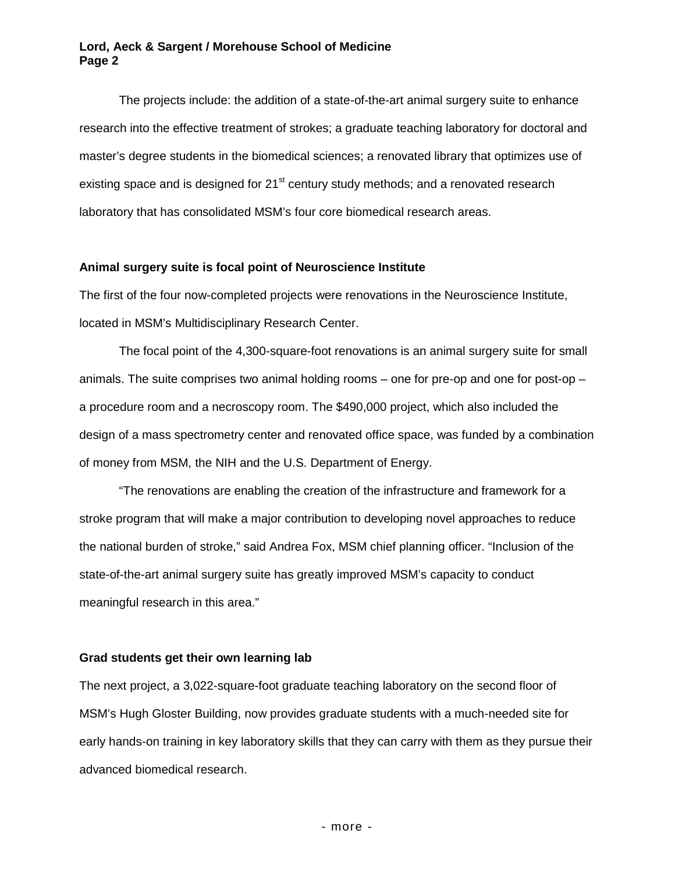#### **Lord, Aeck & Sargent / Morehouse School of Medicine Page 2**

The projects include: the addition of a state-of-the-art animal surgery suite to enhance research into the effective treatment of strokes; a graduate teaching laboratory for doctoral and master's degree students in the biomedical sciences; a renovated library that optimizes use of existing space and is designed for  $21<sup>st</sup>$  century study methods; and a renovated research laboratory that has consolidated MSM's four core biomedical research areas.

#### **Animal surgery suite is focal point of Neuroscience Institute**

The first of the four now-completed projects were renovations in the Neuroscience Institute, located in MSM's Multidisciplinary Research Center.

The focal point of the 4,300-square-foot renovations is an animal surgery suite for small animals. The suite comprises two animal holding rooms – one for pre-op and one for post-op – a procedure room and a necroscopy room. The \$490,000 project, which also included the design of a mass spectrometry center and renovated office space, was funded by a combination of money from MSM, the NIH and the U.S. Department of Energy.

"The renovations are enabling the creation of the infrastructure and framework for a stroke program that will make a major contribution to developing novel approaches to reduce the national burden of stroke," said Andrea Fox, MSM chief planning officer. "Inclusion of the state-of-the-art animal surgery suite has greatly improved MSM's capacity to conduct meaningful research in this area."

#### **Grad students get their own learning lab**

The next project, a 3,022-square-foot graduate teaching laboratory on the second floor of MSM's Hugh Gloster Building, now provides graduate students with a much-needed site for early hands-on training in key laboratory skills that they can carry with them as they pursue their advanced biomedical research.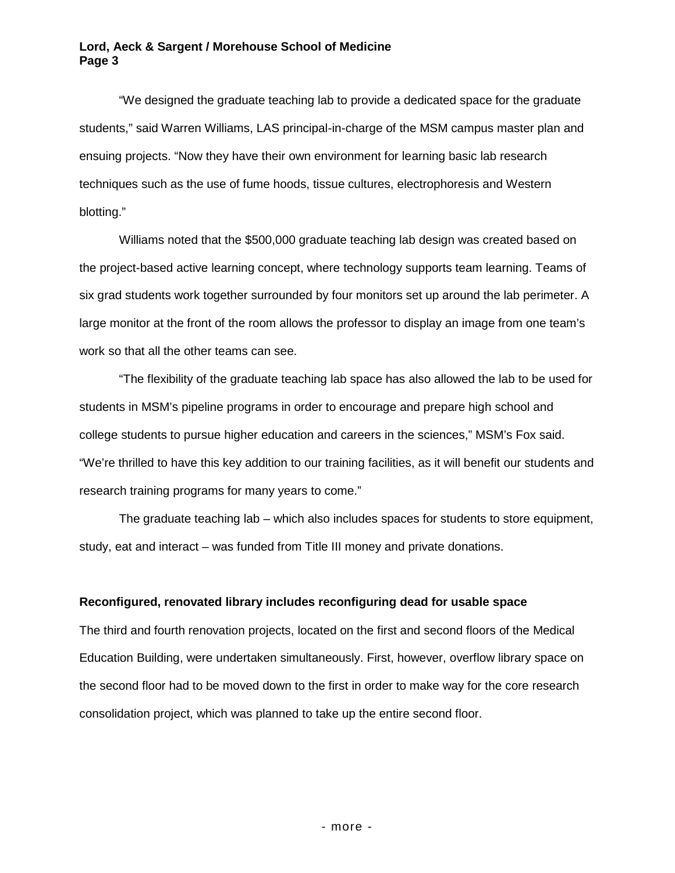"We designed the graduate teaching lab to provide a dedicated space for the graduate students," said Warren Williams, LAS principal-in-charge of the MSM campus master plan and ensuing projects. "Now they have their own environment for learning basic lab research techniques such as the use of fume hoods, tissue cultures, electrophoresis and Western blotting."

Williams noted that the \$500,000 graduate teaching lab design was created based on the project-based active learning concept, where technology supports team learning. Teams of six grad students work together surrounded by four monitors set up around the lab perimeter. A large monitor at the front of the room allows the professor to display an image from one team's work so that all the other teams can see.

"The flexibility of the graduate teaching lab space has also allowed the lab to be used for students in MSM's pipeline programs in order to encourage and prepare high school and college students to pursue higher education and careers in the sciences," MSM's Fox said. "We're thrilled to have this key addition to our training facilities, as it will benefit our students and research training programs for many years to come."

The graduate teaching lab – which also includes spaces for students to store equipment. study, eat and interact – was funded from Title III money and private donations.

## **Reconfigured, renovated library includes reconfiguring dead for usable space**

The third and fourth renovation projects, located on the first and second floors of the Medical Education Building, were undertaken simultaneously. First, however, overflow library space on the second floor had to be moved down to the first in order to make way for the core research consolidation project, which was planned to take up the entire second floor.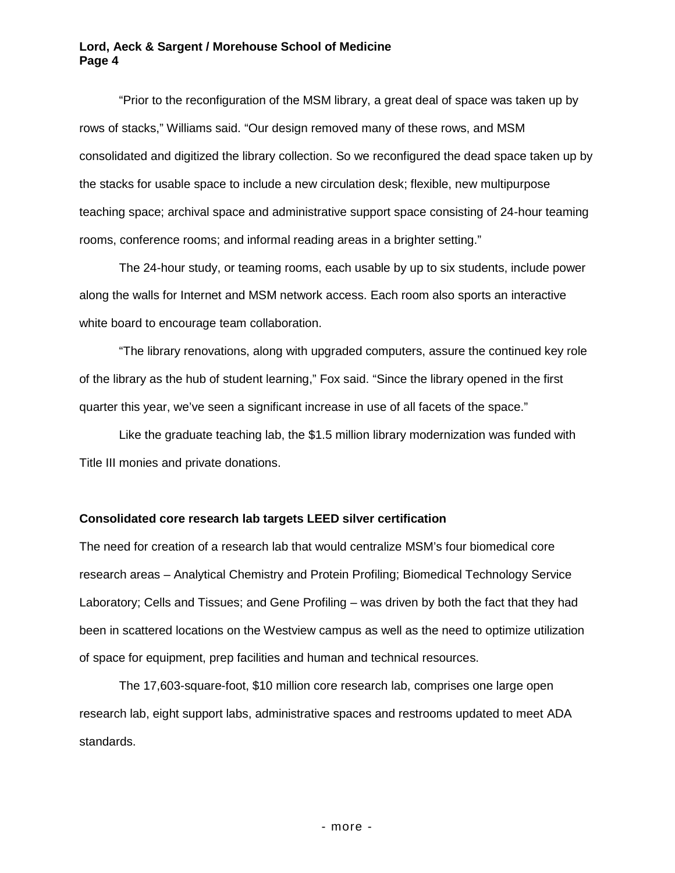#### **Lord, Aeck & Sargent / Morehouse School of Medicine Page 4**

"Prior to the reconfiguration of the MSM library, a great deal of space was taken up by rows of stacks," Williams said. "Our design removed many of these rows, and MSM consolidated and digitized the library collection. So we reconfigured the dead space taken up by the stacks for usable space to include a new circulation desk; flexible, new multipurpose teaching space; archival space and administrative support space consisting of 24-hour teaming rooms, conference rooms; and informal reading areas in a brighter setting."

The 24-hour study, or teaming rooms, each usable by up to six students, include power along the walls for Internet and MSM network access. Each room also sports an interactive white board to encourage team collaboration.

"The library renovations, along with upgraded computers, assure the continued key role of the library as the hub of student learning," Fox said. "Since the library opened in the first quarter this year, we've seen a significant increase in use of all facets of the space."

Like the graduate teaching lab, the \$1.5 million library modernization was funded with Title III monies and private donations.

#### **Consolidated core research lab targets LEED silver certification**

The need for creation of a research lab that would centralize MSM's four biomedical core research areas – Analytical Chemistry and Protein Profiling; Biomedical Technology Service Laboratory; Cells and Tissues; and Gene Profiling – was driven by both the fact that they had been in scattered locations on the Westview campus as well as the need to optimize utilization of space for equipment, prep facilities and human and technical resources.

The 17,603-square-foot, \$10 million core research lab, comprises one large open research lab, eight support labs, administrative spaces and restrooms updated to meet ADA standards.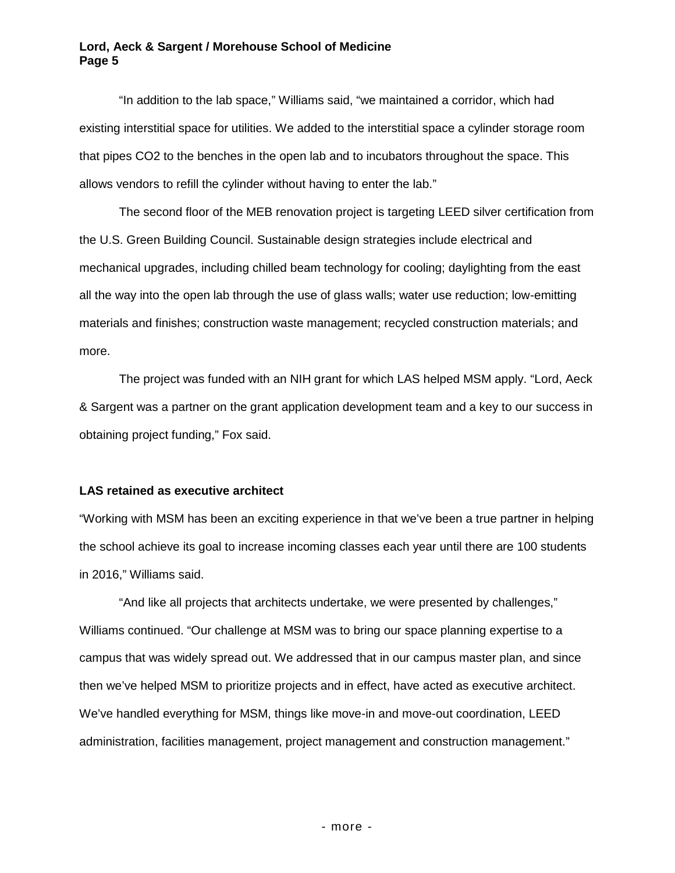"In addition to the lab space," Williams said, "we maintained a corridor, which had existing interstitial space for utilities. We added to the interstitial space a cylinder storage room that pipes CO2 to the benches in the open lab and to incubators throughout the space. This allows vendors to refill the cylinder without having to enter the lab."

The second floor of the MEB renovation project is targeting LEED silver certification from the U.S. Green Building Council. Sustainable design strategies include electrical and mechanical upgrades, including chilled beam technology for cooling; daylighting from the east all the way into the open lab through the use of glass walls; water use reduction; low-emitting materials and finishes; construction waste management; recycled construction materials; and more.

The project was funded with an NIH grant for which LAS helped MSM apply. "Lord, Aeck & Sargent was a partner on the grant application development team and a key to our success in obtaining project funding," Fox said.

# **LAS retained as executive architect**

"Working with MSM has been an exciting experience in that we've been a true partner in helping the school achieve its goal to increase incoming classes each year until there are 100 students in 2016," Williams said.

"And like all projects that architects undertake, we were presented by challenges," Williams continued. "Our challenge at MSM was to bring our space planning expertise to a campus that was widely spread out. We addressed that in our campus master plan, and since then we've helped MSM to prioritize projects and in effect, have acted as executive architect. We've handled everything for MSM, things like move-in and move-out coordination, LEED administration, facilities management, project management and construction management."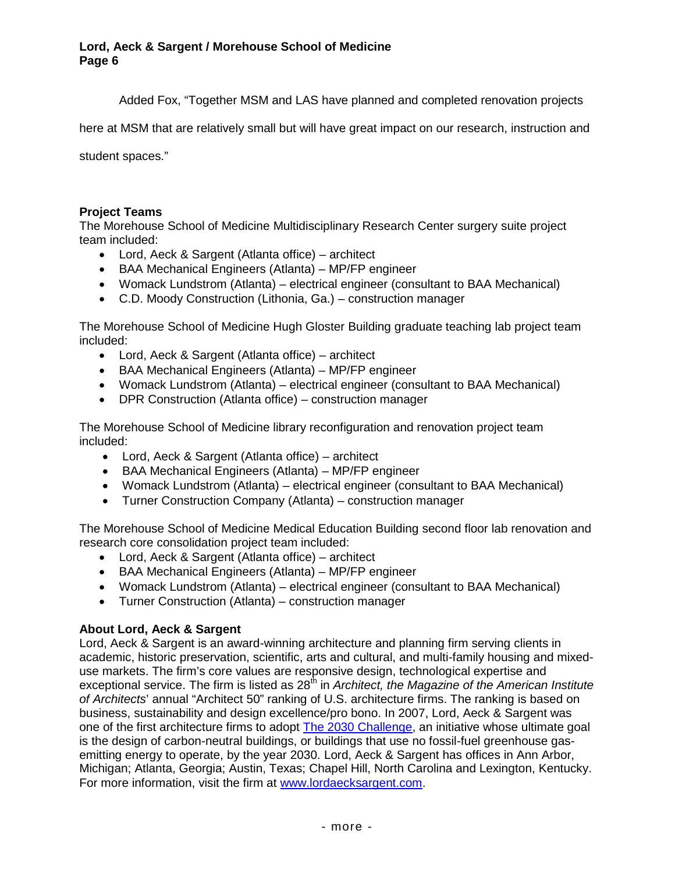Added Fox, "Together MSM and LAS have planned and completed renovation projects

here at MSM that are relatively small but will have great impact on our research, instruction and

student spaces."

# **Project Teams**

The Morehouse School of Medicine Multidisciplinary Research Center surgery suite project team included:

- Lord, Aeck & Sargent (Atlanta office) architect
- BAA Mechanical Engineers (Atlanta) MP/FP engineer
- Womack Lundstrom (Atlanta) electrical engineer (consultant to BAA Mechanical)
- C.D. Moody Construction (Lithonia, Ga.) construction manager

The Morehouse School of Medicine Hugh Gloster Building graduate teaching lab project team included:

- Lord, Aeck & Sargent (Atlanta office) architect
- BAA Mechanical Engineers (Atlanta) MP/FP engineer
- Womack Lundstrom (Atlanta) electrical engineer (consultant to BAA Mechanical)
- DPR Construction (Atlanta office) construction manager

The Morehouse School of Medicine library reconfiguration and renovation project team included:

- Lord, Aeck & Sargent (Atlanta office) architect
- BAA Mechanical Engineers (Atlanta) MP/FP engineer
- Womack Lundstrom (Atlanta) electrical engineer (consultant to BAA Mechanical)
- Turner Construction Company (Atlanta) construction manager

The Morehouse School of Medicine Medical Education Building second floor lab renovation and research core consolidation project team included:

- Lord, Aeck & Sargent (Atlanta office) architect
- BAA Mechanical Engineers (Atlanta) MP/FP engineer
- Womack Lundstrom (Atlanta) electrical engineer (consultant to BAA Mechanical)
- Turner Construction (Atlanta) construction manager

#### **About Lord, Aeck & Sargent**

Lord, Aeck & Sargent is an award-winning architecture and planning firm serving clients in academic, historic preservation, scientific, arts and cultural, and multi-family housing and mixeduse markets. The firm's core values are responsive design, technological expertise and exceptional service. The firm is listed as 28<sup>th</sup> in *Architect*, the Magazine of the American Institute *of Architects*' annual "Architect 50" ranking of U.S. architecture firms. The ranking is based on business, sustainability and design excellence/pro bono. In 2007, Lord, Aeck & Sargent was one of the first architecture firms to adopt The 2030 Challenge, an initiative whose ultimate goal is the design of carbon-neutral buildings, or buildings that use no fossil-fuel greenhouse gasemitting energy to operate, by the year 2030. Lord, Aeck & Sargent has offices in Ann Arbor, Michigan; Atlanta, Georgia; Austin, Texas; Chapel Hill, North Carolina and Lexington, Kentucky. For more information, visit the firm at www.lordaecksargent.com.